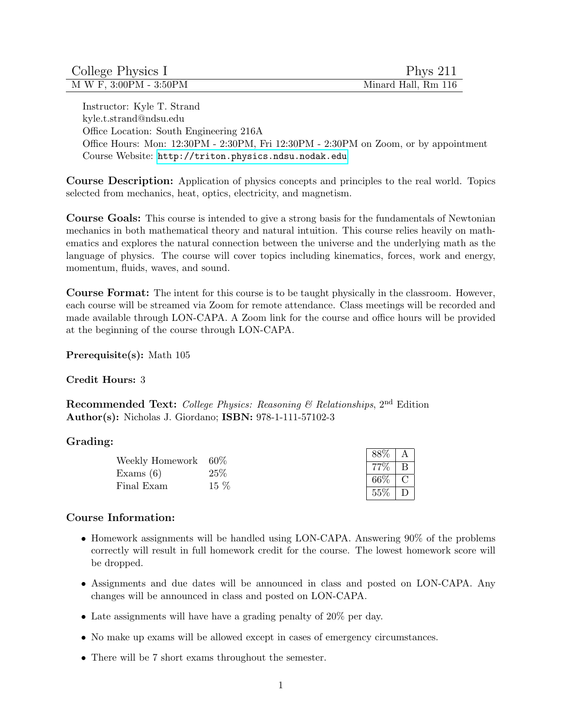| College Physics I      | Phys $211$          |
|------------------------|---------------------|
| M W F, 3:00PM - 3:50PM | Minard Hall, Rm 116 |

Instructor: Kyle T. Strand kyle.t.strand@ndsu.edu Office Location: South Engineering 216A Office Hours: Mon: 12:30PM - 2:30PM, Fri 12:30PM - 2:30PM on Zoom, or by appointment Course Website: <http://triton.physics.ndsu.nodak.edu>

Course Description: Application of physics concepts and principles to the real world. Topics selected from mechanics, heat, optics, electricity, and magnetism.

Course Goals: This course is intended to give a strong basis for the fundamentals of Newtonian mechanics in both mathematical theory and natural intuition. This course relies heavily on mathematics and explores the natural connection between the universe and the underlying math as the language of physics. The course will cover topics including kinematics, forces, work and energy, momentum, fluids, waves, and sound.

Course Format: The intent for this course is to be taught physically in the classroom. However, each course will be streamed via Zoom for remote attendance. Class meetings will be recorded and made available through LON-CAPA. A Zoom link for the course and office hours will be provided at the beginning of the course through LON-CAPA.

Prerequisite(s): Math 105

#### Credit Hours: 3

Recommended Text: College Physics: Reasoning & Relationships, 2<sup>nd</sup> Edition Author(s): Nicholas J. Giordano; ISBN: 978-1-111-57102-3

#### Grading:

| Weekly Homework 60\% |        |      |  |
|----------------------|--------|------|--|
| Exams $(6)$          | 25\%   |      |  |
| Final Exam           | $15\%$ | 66\% |  |
|                      |        | 55%  |  |

#### Course Information:

- Homework assignments will be handled using LON-CAPA. Answering 90% of the problems correctly will result in full homework credit for the course. The lowest homework score will be dropped.
- Assignments and due dates will be announced in class and posted on LON-CAPA. Any changes will be announced in class and posted on LON-CAPA.
- Late assignments will have have a grading penalty of 20% per day.
- No make up exams will be allowed except in cases of emergency circumstances.
- There will be 7 short exams throughout the semester.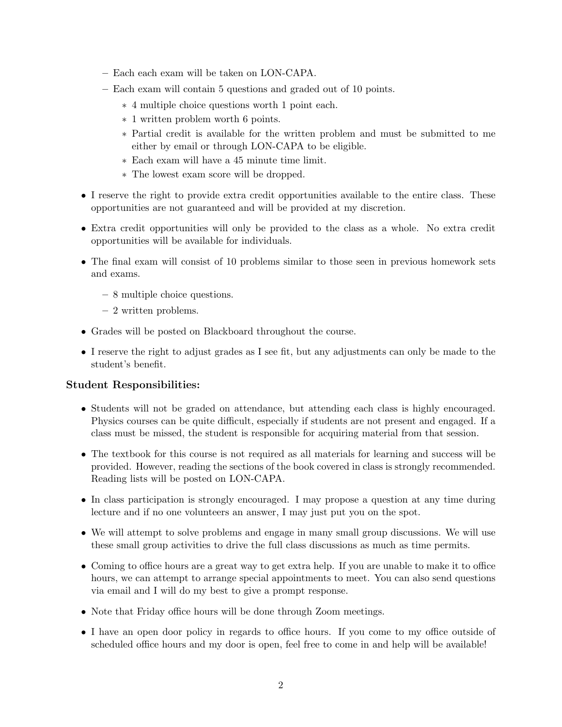- Each each exam will be taken on LON-CAPA.
- Each exam will contain 5 questions and graded out of 10 points.
	- ∗ 4 multiple choice questions worth 1 point each.
	- ∗ 1 written problem worth 6 points.
	- ∗ Partial credit is available for the written problem and must be submitted to me either by email or through LON-CAPA to be eligible.
	- ∗ Each exam will have a 45 minute time limit.
	- ∗ The lowest exam score will be dropped.
- I reserve the right to provide extra credit opportunities available to the entire class. These opportunities are not guaranteed and will be provided at my discretion.
- Extra credit opportunities will only be provided to the class as a whole. No extra credit opportunities will be available for individuals.
- The final exam will consist of 10 problems similar to those seen in previous homework sets and exams.
	- 8 multiple choice questions.
	- 2 written problems.
- Grades will be posted on Blackboard throughout the course.
- I reserve the right to adjust grades as I see fit, but any adjustments can only be made to the student's benefit.

## Student Responsibilities:

- Students will not be graded on attendance, but attending each class is highly encouraged. Physics courses can be quite difficult, especially if students are not present and engaged. If a class must be missed, the student is responsible for acquiring material from that session.
- The textbook for this course is not required as all materials for learning and success will be provided. However, reading the sections of the book covered in class is strongly recommended. Reading lists will be posted on LON-CAPA.
- In class participation is strongly encouraged. I may propose a question at any time during lecture and if no one volunteers an answer, I may just put you on the spot.
- We will attempt to solve problems and engage in many small group discussions. We will use these small group activities to drive the full class discussions as much as time permits.
- Coming to office hours are a great way to get extra help. If you are unable to make it to office hours, we can attempt to arrange special appointments to meet. You can also send questions via email and I will do my best to give a prompt response.
- Note that Friday office hours will be done through Zoom meetings.
- I have an open door policy in regards to office hours. If you come to my office outside of scheduled office hours and my door is open, feel free to come in and help will be available!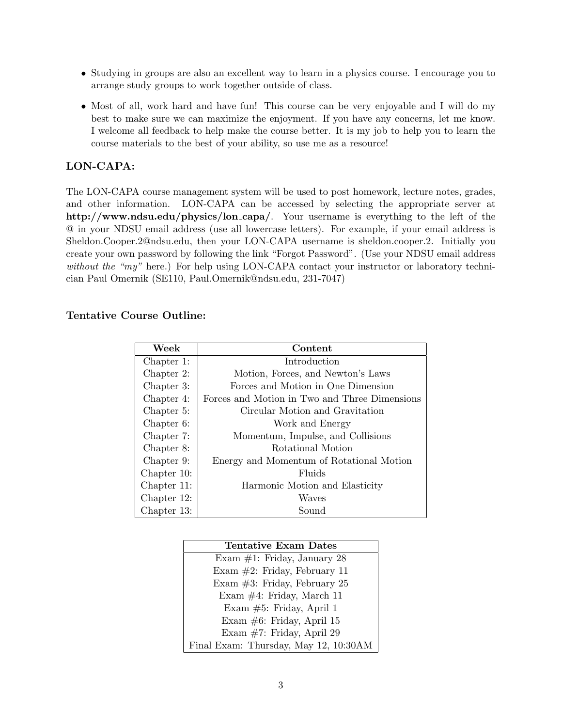- Studying in groups are also an excellent way to learn in a physics course. I encourage you to arrange study groups to work together outside of class.
- Most of all, work hard and have fun! This course can be very enjoyable and I will do my best to make sure we can maximize the enjoyment. If you have any concerns, let me know. I welcome all feedback to help make the course better. It is my job to help you to learn the course materials to the best of your ability, so use me as a resource!

## LON-CAPA:

The LON-CAPA course management system will be used to post homework, lecture notes, grades, and other information. LON-CAPA can be accessed by selecting the appropriate server at http://www.ndsu.edu/physics/lon capa/. Your username is everything to the left of the @ in your NDSU email address (use all lowercase letters). For example, if your email address is Sheldon.Cooper.2@ndsu.edu, then your LON-CAPA username is sheldon.cooper.2. Initially you create your own password by following the link "Forgot Password". (Use your NDSU email address without the "my" here.) For help using LON-CAPA contact your instructor or laboratory technician Paul Omernik (SE110, Paul.Omernik@ndsu.edu, 231-7047)

## Tentative Course Outline:

| Week        | Content                                       |
|-------------|-----------------------------------------------|
| Chapter 1:  | Introduction                                  |
| Chapter 2:  | Motion, Forces, and Newton's Laws             |
| Chapter 3:  | Forces and Motion in One Dimension            |
| Chapter 4:  | Forces and Motion in Two and Three Dimensions |
| Chapter 5:  | Circular Motion and Gravitation               |
| Chapter 6:  | Work and Energy                               |
| Chapter 7:  | Momentum, Impulse, and Collisions             |
| Chapter 8:  | Rotational Motion                             |
| Chapter 9:  | Energy and Momentum of Rotational Motion      |
| Chapter 10: | Fluids                                        |
| Chapter 11: | Harmonic Motion and Elasticity                |
| Chapter 12: | Waves                                         |
| Chapter 13: | Sound                                         |

| Tentative Exam Dates                  |  |
|---------------------------------------|--|
| Exam $#1$ : Friday, January 28        |  |
| Exam $\#2$ : Friday, February 11      |  |
| Exam $#3$ : Friday, February 25       |  |
| Exam $\#4$ : Friday, March 11         |  |
| Exam $#5$ : Friday, April 1           |  |
| Exam $#6$ : Friday, April 15          |  |
| Exam $#7$ : Friday, April 29          |  |
| Final Exam: Thursday, May 12, 10:30AM |  |